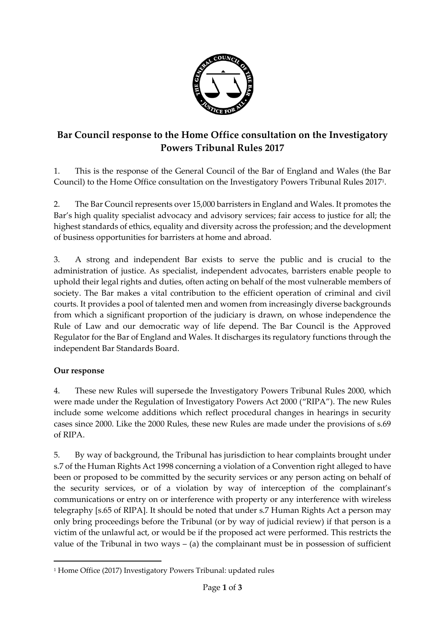

## **Bar Council response to the Home Office consultation on the Investigatory Powers Tribunal Rules 2017**

1. This is the response of the General Council of the Bar of England and Wales (the Bar Council) to the Home Office consultation on the Investigatory Powers Tribunal Rules 2017<sup>1</sup> .

2. The Bar Council represents over 15,000 barristers in England and Wales. It promotes the Bar's high quality specialist advocacy and advisory services; fair access to justice for all; the highest standards of ethics, equality and diversity across the profession; and the development of business opportunities for barristers at home and abroad.

3. A strong and independent Bar exists to serve the public and is crucial to the administration of justice. As specialist, independent advocates, barristers enable people to uphold their legal rights and duties, often acting on behalf of the most vulnerable members of society. The Bar makes a vital contribution to the efficient operation of criminal and civil courts. It provides a pool of talented men and women from increasingly diverse backgrounds from which a significant proportion of the judiciary is drawn, on whose independence the Rule of Law and our democratic way of life depend. The Bar Council is the Approved Regulator for the Bar of England and Wales. It discharges its regulatory functions through the independent Bar Standards Board.

## **Our response**

 $\overline{a}$ 

4. These new Rules will supersede the Investigatory Powers Tribunal Rules 2000, which were made under the Regulation of Investigatory Powers Act 2000 ("RIPA"). The new Rules include some welcome additions which reflect procedural changes in hearings in security cases since 2000. Like the 2000 Rules, these new Rules are made under the provisions of s.69 of RIPA.

5. By way of background, the Tribunal has jurisdiction to hear complaints brought under s.7 of the Human Rights Act 1998 concerning a violation of a Convention right alleged to have been or proposed to be committed by the security services or any person acting on behalf of the security services, or of a violation by way of interception of the complainant's communications or entry on or interference with property or any interference with wireless telegraphy [s.65 of RIPA]. It should be noted that under s.7 Human Rights Act a person may only bring proceedings before the Tribunal (or by way of judicial review) if that person is a victim of the unlawful act, or would be if the proposed act were performed. This restricts the value of the Tribunal in two ways  $-$  (a) the complainant must be in possession of sufficient

<sup>1</sup> Home Office (2017) Investigatory Powers Tribunal: updated rules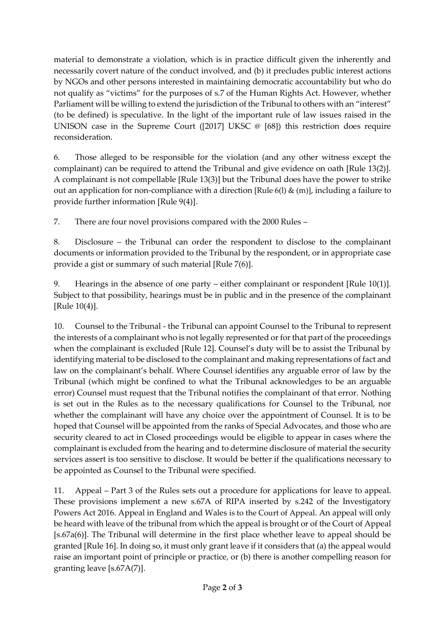material to demonstrate a violation, which is in practice difficult given the inherently and necessarily covert nature of the conduct involved, and (b) it precludes public interest actions by NGOs and other persons interested in maintaining democratic accountability but who do not qualify as "victims" for the purposes of s.7 of the Human Rights Act. However, whether Parliament will be willing to extend the jurisdiction of the Tribunal to others with an "interest" (to be defined) is speculative. In the light of the important rule of law issues raised in the UNISON case in the Supreme Court ([2017] UKSC @ [68]) this restriction does require reconsideration.

6. Those alleged to be responsible for the violation (and any other witness except the complainant) can be required to attend the Tribunal and give evidence on oath [Rule 13(2)]. A complainant is not compellable [Rule 13(3)] but the Tribunal does have the power to strike out an application for non-compliance with a direction [Rule 6(l)  $\&$  (m)], including a failure to provide further information [Rule 9(4)].

7. There are four novel provisions compared with the 2000 Rules –

8. Disclosure – the Tribunal can order the respondent to disclose to the complainant documents or information provided to the Tribunal by the respondent, or in appropriate case provide a gist or summary of such material [Rule 7(6)].

9. Hearings in the absence of one party – either complainant or respondent [Rule 10(1)]. Subject to that possibility, hearings must be in public and in the presence of the complainant [Rule 10(4)].

10. Counsel to the Tribunal - the Tribunal can appoint Counsel to the Tribunal to represent the interests of a complainant who is not legally represented or for that part of the proceedings when the complainant is excluded [Rule 12]. Counsel's duty will be to assist the Tribunal by identifying material to be disclosed to the complainant and making representations of fact and law on the complainant's behalf. Where Counsel identifies any arguable error of law by the Tribunal (which might be confined to what the Tribunal acknowledges to be an arguable error) Counsel must request that the Tribunal notifies the complainant of that error. Nothing is set out in the Rules as to the necessary qualifications for Counsel to the Tribunal, nor whether the complainant will have any choice over the appointment of Counsel. It is to be hoped that Counsel will be appointed from the ranks of Special Advocates, and those who are security cleared to act in Closed proceedings would be eligible to appear in cases where the complainant is excluded from the hearing and to determine disclosure of material the security services assert is too sensitive to disclose. It would be better if the qualifications necessary to be appointed as Counsel to the Tribunal were specified.

11. Appeal – Part 3 of the Rules sets out a procedure for applications for leave to appeal. These provisions implement a new s.67A of RIPA inserted by s.242 of the Investigatory Powers Act 2016. Appeal in England and Wales is to the Court of Appeal. An appeal will only be heard with leave of the tribunal from which the appeal is brought or of the Court of Appeal [s.67a(6)]. The Tribunal will determine in the first place whether leave to appeal should be granted [Rule 16]. In doing so, it must only grant leave if it considers that (a) the appeal would raise an important point of principle or practice, or (b) there is another compelling reason for granting leave [s.67A(7)].